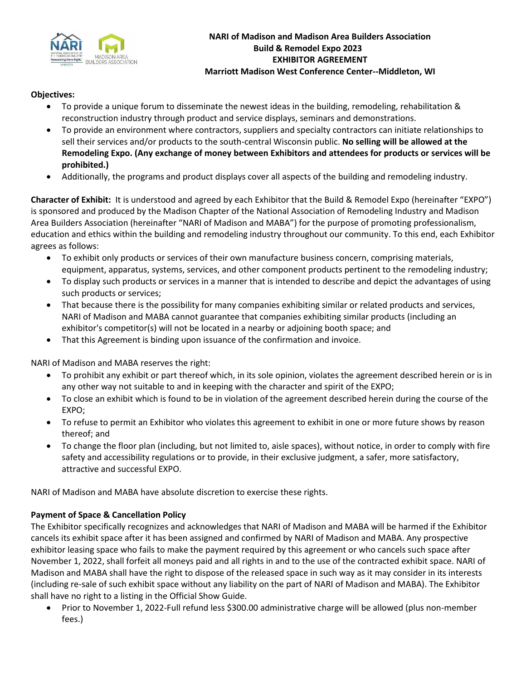

### **Objectives:**

- To provide a unique forum to disseminate the newest ideas in the building, remodeling, rehabilitation & reconstruction industry through product and service displays, seminars and demonstrations.
- To provide an environment where contractors, suppliers and specialty contractors can initiate relationships to sell their services and/or products to the south-central Wisconsin public. **No selling will be allowed at the Remodeling Expo. (Any exchange of money between Exhibitors and attendees for products or services will be prohibited.)**
- Additionally, the programs and product displays cover all aspects of the building and remodeling industry.

**Character of Exhibit:** It is understood and agreed by each Exhibitor that the Build & Remodel Expo (hereinafter "EXPO") is sponsored and produced by the Madison Chapter of the National Association of Remodeling Industry and Madison Area Builders Association (hereinafter "NARI of Madison and MABA") for the purpose of promoting professionalism, education and ethics within the building and remodeling industry throughout our community. To this end, each Exhibitor agrees as follows:

- To exhibit only products or services of their own manufacture business concern, comprising materials, equipment, apparatus, systems, services, and other component products pertinent to the remodeling industry;
- To display such products or services in a manner that is intended to describe and depict the advantages of using such products or services;
- That because there is the possibility for many companies exhibiting similar or related products and services, NARI of Madison and MABA cannot guarantee that companies exhibiting similar products (including an exhibitor's competitor(s) will not be located in a nearby or adjoining booth space; and
- That this Agreement is binding upon issuance of the confirmation and invoice.

NARI of Madison and MABA reserves the right:

- To prohibit any exhibit or part thereof which, in its sole opinion, violates the agreement described herein or is in any other way not suitable to and in keeping with the character and spirit of the EXPO;
- To close an exhibit which is found to be in violation of the agreement described herein during the course of the EXPO;
- To refuse to permit an Exhibitor who violates this agreement to exhibit in one or more future shows by reason thereof; and
- To change the floor plan (including, but not limited to, aisle spaces), without notice, in order to comply with fire safety and accessibility regulations or to provide, in their exclusive judgment, a safer, more satisfactory, attractive and successful EXPO.

NARI of Madison and MABA have absolute discretion to exercise these rights.

# **Payment of Space & Cancellation Policy**

The Exhibitor specifically recognizes and acknowledges that NARI of Madison and MABA will be harmed if the Exhibitor cancels its exhibit space after it has been assigned and confirmed by NARI of Madison and MABA. Any prospective exhibitor leasing space who fails to make the payment required by this agreement or who cancels such space after November 1, 2022, shall forfeit all moneys paid and all rights in and to the use of the contracted exhibit space. NARI of Madison and MABA shall have the right to dispose of the released space in such way as it may consider in its interests (including re-sale of such exhibit space without any liability on the part of NARI of Madison and MABA). The Exhibitor shall have no right to a listing in the Official Show Guide.

• Prior to November 1, 2022-Full refund less \$300.00 administrative charge will be allowed (plus non-member fees.)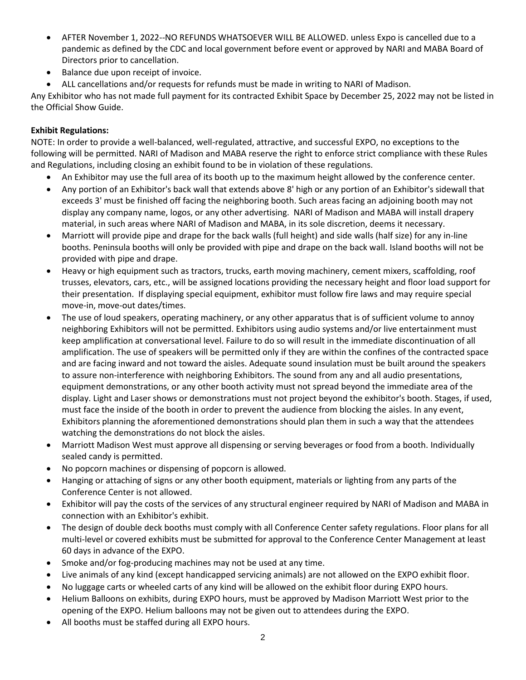- AFTER November 1, 2022--NO REFUNDS WHATSOEVER WILL BE ALLOWED. unless Expo is cancelled due to a pandemic as defined by the CDC and local government before event or approved by NARI and MABA Board of Directors prior to cancellation.
- Balance due upon receipt of invoice.
- ALL cancellations and/or requests for refunds must be made in writing to NARI of Madison.

Any Exhibitor who has not made full payment for its contracted Exhibit Space by December 25, 2022 may not be listed in the Official Show Guide.

## **Exhibit Regulations:**

NOTE: In order to provide a well-balanced, well-regulated, attractive, and successful EXPO, no exceptions to the following will be permitted. NARI of Madison and MABA reserve the right to enforce strict compliance with these Rules and Regulations, including closing an exhibit found to be in violation of these regulations.

- An Exhibitor may use the full area of its booth up to the maximum height allowed by the conference center.
- Any portion of an Exhibitor's back wall that extends above 8' high or any portion of an Exhibitor's sidewall that exceeds 3' must be finished off facing the neighboring booth. Such areas facing an adjoining booth may not display any company name, logos, or any other advertising. NARI of Madison and MABA will install drapery material, in such areas where NARI of Madison and MABA, in its sole discretion, deems it necessary.
- Marriott will provide pipe and drape for the back walls (full height) and side walls (half size) for any in-line booths. Peninsula booths will only be provided with pipe and drape on the back wall. Island booths will not be provided with pipe and drape.
- Heavy or high equipment such as tractors, trucks, earth moving machinery, cement mixers, scaffolding, roof trusses, elevators, cars, etc., will be assigned locations providing the necessary height and floor load support for their presentation. If displaying special equipment, exhibitor must follow fire laws and may require special move-in, move-out dates/times.
- The use of loud speakers, operating machinery, or any other apparatus that is of sufficient volume to annoy neighboring Exhibitors will not be permitted. Exhibitors using audio systems and/or live entertainment must keep amplification at conversational level. Failure to do so will result in the immediate discontinuation of all amplification. The use of speakers will be permitted only if they are within the confines of the contracted space and are facing inward and not toward the aisles. Adequate sound insulation must be built around the speakers to assure non-interference with neighboring Exhibitors. The sound from any and all audio presentations, equipment demonstrations, or any other booth activity must not spread beyond the immediate area of the display. Light and Laser shows or demonstrations must not project beyond the exhibitor's booth. Stages, if used, must face the inside of the booth in order to prevent the audience from blocking the aisles. In any event, Exhibitors planning the aforementioned demonstrations should plan them in such a way that the attendees watching the demonstrations do not block the aisles.
- Marriott Madison West must approve all dispensing or serving beverages or food from a booth. Individually sealed candy is permitted.
- No popcorn machines or dispensing of popcorn is allowed.
- Hanging or attaching of signs or any other booth equipment, materials or lighting from any parts of the Conference Center is not allowed.
- Exhibitor will pay the costs of the services of any structural engineer required by NARI of Madison and MABA in connection with an Exhibitor's exhibit.
- The design of double deck booths must comply with all Conference Center safety regulations. Floor plans for all multi-level or covered exhibits must be submitted for approval to the Conference Center Management at least 60 days in advance of the EXPO.
- Smoke and/or fog-producing machines may not be used at any time.
- Live animals of any kind (except handicapped servicing animals) are not allowed on the EXPO exhibit floor.
- No luggage carts or wheeled carts of any kind will be allowed on the exhibit floor during EXPO hours.
- Helium Balloons on exhibits, during EXPO hours, must be approved by Madison Marriott West prior to the opening of the EXPO. Helium balloons may not be given out to attendees during the EXPO.
- All booths must be staffed during all EXPO hours.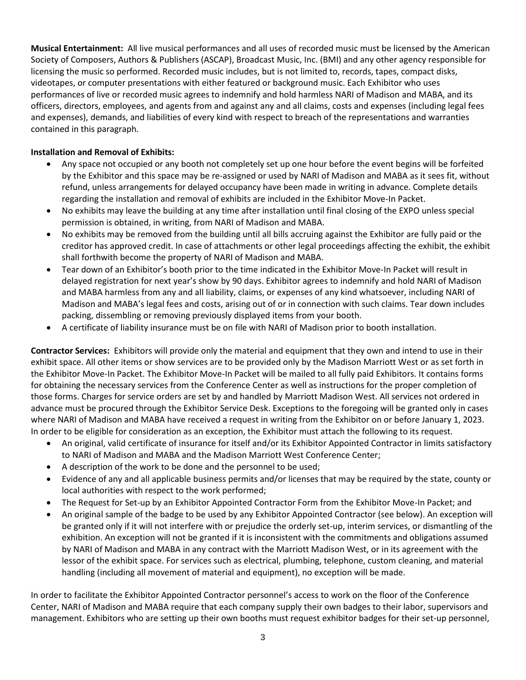**Musical Entertainment:** All live musical performances and all uses of recorded music must be licensed by the American Society of Composers, Authors & Publishers (ASCAP), Broadcast Music, Inc. (BMI) and any other agency responsible for licensing the music so performed. Recorded music includes, but is not limited to, records, tapes, compact disks, videotapes, or computer presentations with either featured or background music. Each Exhibitor who uses performances of live or recorded music agrees to indemnify and hold harmless NARI of Madison and MABA, and its officers, directors, employees, and agents from and against any and all claims, costs and expenses (including legal fees and expenses), demands, and liabilities of every kind with respect to breach of the representations and warranties contained in this paragraph.

## **Installation and Removal of Exhibits:**

- Any space not occupied or any booth not completely set up one hour before the event begins will be forfeited by the Exhibitor and this space may be re-assigned or used by NARI of Madison and MABA as it sees fit, without refund, unless arrangements for delayed occupancy have been made in writing in advance. Complete details regarding the installation and removal of exhibits are included in the Exhibitor Move-In Packet.
- No exhibits may leave the building at any time after installation until final closing of the EXPO unless special permission is obtained, in writing, from NARI of Madison and MABA.
- No exhibits may be removed from the building until all bills accruing against the Exhibitor are fully paid or the creditor has approved credit. In case of attachments or other legal proceedings affecting the exhibit, the exhibit shall forthwith become the property of NARI of Madison and MABA.
- Tear down of an Exhibitor's booth prior to the time indicated in the Exhibitor Move-In Packet will result in delayed registration for next year's show by 90 days. Exhibitor agrees to indemnify and hold NARI of Madison and MABA harmless from any and all liability, claims, or expenses of any kind whatsoever, including NARI of Madison and MABA's legal fees and costs, arising out of or in connection with such claims. Tear down includes packing, dissembling or removing previously displayed items from your booth.
- A certificate of liability insurance must be on file with NARI of Madison prior to booth installation.

**Contractor Services:** Exhibitors will provide only the material and equipment that they own and intend to use in their exhibit space. All other items or show services are to be provided only by the Madison Marriott West or as set forth in the Exhibitor Move-In Packet. The Exhibitor Move-In Packet will be mailed to all fully paid Exhibitors. It contains forms for obtaining the necessary services from the Conference Center as well as instructions for the proper completion of those forms. Charges for service orders are set by and handled by Marriott Madison West. All services not ordered in advance must be procured through the Exhibitor Service Desk. Exceptions to the foregoing will be granted only in cases where NARI of Madison and MABA have received a request in writing from the Exhibitor on or before January 1, 2023. In order to be eligible for consideration as an exception, the Exhibitor must attach the following to its request.

- An original, valid certificate of insurance for itself and/or its Exhibitor Appointed Contractor in limits satisfactory to NARI of Madison and MABA and the Madison Marriott West Conference Center;
- A description of the work to be done and the personnel to be used;
- Evidence of any and all applicable business permits and/or licenses that may be required by the state, county or local authorities with respect to the work performed;
- The Request for Set-up by an Exhibitor Appointed Contractor Form from the Exhibitor Move-In Packet; and
- An original sample of the badge to be used by any Exhibitor Appointed Contractor (see below). An exception will be granted only if it will not interfere with or prejudice the orderly set-up, interim services, or dismantling of the exhibition. An exception will not be granted if it is inconsistent with the commitments and obligations assumed by NARI of Madison and MABA in any contract with the Marriott Madison West, or in its agreement with the lessor of the exhibit space. For services such as electrical, plumbing, telephone, custom cleaning, and material handling (including all movement of material and equipment), no exception will be made.

In order to facilitate the Exhibitor Appointed Contractor personnel's access to work on the floor of the Conference Center, NARI of Madison and MABA require that each company supply their own badges to their labor, supervisors and management. Exhibitors who are setting up their own booths must request exhibitor badges for their set-up personnel,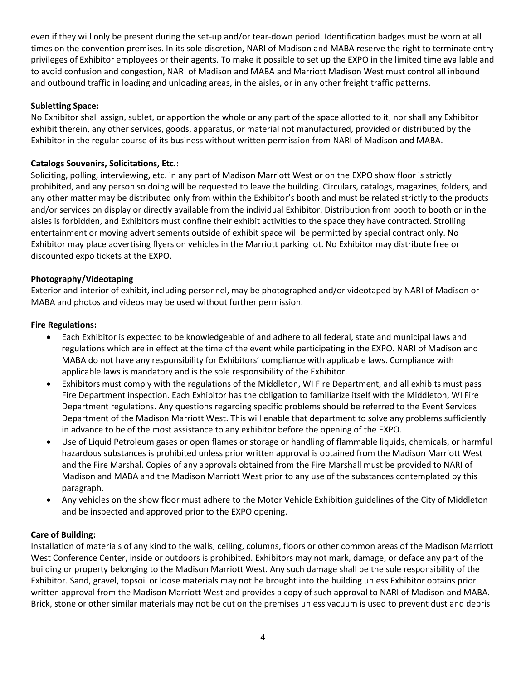even if they will only be present during the set-up and/or tear-down period. Identification badges must be worn at all times on the convention premises. In its sole discretion, NARI of Madison and MABA reserve the right to terminate entry privileges of Exhibitor employees or their agents. To make it possible to set up the EXPO in the limited time available and to avoid confusion and congestion, NARI of Madison and MABA and Marriott Madison West must control all inbound and outbound traffic in loading and unloading areas, in the aisles, or in any other freight traffic patterns.

## **Subletting Space:**

No Exhibitor shall assign, sublet, or apportion the whole or any part of the space allotted to it, nor shall any Exhibitor exhibit therein, any other services, goods, apparatus, or material not manufactured, provided or distributed by the Exhibitor in the regular course of its business without written permission from NARI of Madison and MABA.

## **Catalogs Souvenirs, Solicitations, Etc.:**

Soliciting, polling, interviewing, etc. in any part of Madison Marriott West or on the EXPO show floor is strictly prohibited, and any person so doing will be requested to leave the building. Circulars, catalogs, magazines, folders, and any other matter may be distributed only from within the Exhibitor's booth and must be related strictly to the products and/or services on display or directly available from the individual Exhibitor. Distribution from booth to booth or in the aisles is forbidden, and Exhibitors must confine their exhibit activities to the space they have contracted. Strolling entertainment or moving advertisements outside of exhibit space will be permitted by special contract only. No Exhibitor may place advertising flyers on vehicles in the Marriott parking lot. No Exhibitor may distribute free or discounted expo tickets at the EXPO.

### **Photography/Videotaping**

Exterior and interior of exhibit, including personnel, may be photographed and/or videotaped by NARI of Madison or MABA and photos and videos may be used without further permission.

### **Fire Regulations:**

- Each Exhibitor is expected to be knowledgeable of and adhere to all federal, state and municipal laws and regulations which are in effect at the time of the event while participating in the EXPO. NARI of Madison and MABA do not have any responsibility for Exhibitors' compliance with applicable laws. Compliance with applicable laws is mandatory and is the sole responsibility of the Exhibitor.
- Exhibitors must comply with the regulations of the Middleton, WI Fire Department, and all exhibits must pass Fire Department inspection. Each Exhibitor has the obligation to familiarize itself with the Middleton, WI Fire Department regulations. Any questions regarding specific problems should be referred to the Event Services Department of the Madison Marriott West. This will enable that department to solve any problems sufficiently in advance to be of the most assistance to any exhibitor before the opening of the EXPO.
- Use of Liquid Petroleum gases or open flames or storage or handling of flammable liquids, chemicals, or harmful hazardous substances is prohibited unless prior written approval is obtained from the Madison Marriott West and the Fire Marshal. Copies of any approvals obtained from the Fire Marshall must be provided to NARI of Madison and MABA and the Madison Marriott West prior to any use of the substances contemplated by this paragraph.
- Any vehicles on the show floor must adhere to the Motor Vehicle Exhibition guidelines of the City of Middleton and be inspected and approved prior to the EXPO opening.

### **Care of Building:**

Installation of materials of any kind to the walls, ceiling, columns, floors or other common areas of the Madison Marriott West Conference Center, inside or outdoors is prohibited. Exhibitors may not mark, damage, or deface any part of the building or property belonging to the Madison Marriott West. Any such damage shall be the sole responsibility of the Exhibitor. Sand, gravel, topsoil or loose materials may not he brought into the building unless Exhibitor obtains prior written approval from the Madison Marriott West and provides a copy of such approval to NARI of Madison and MABA. Brick, stone or other similar materials may not be cut on the premises unless vacuum is used to prevent dust and debris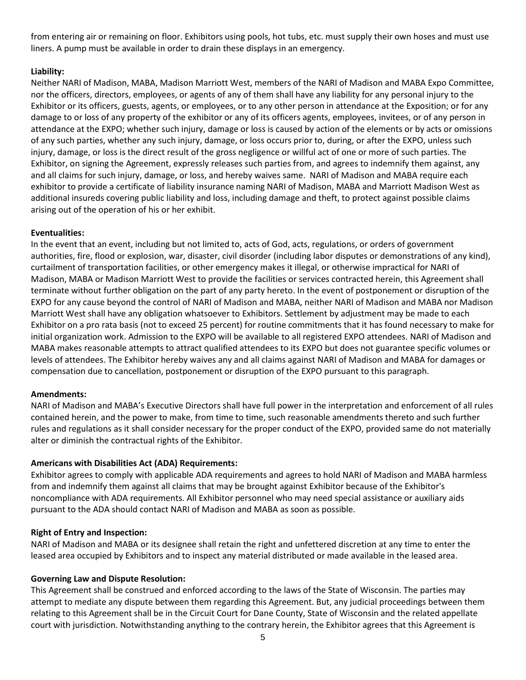from entering air or remaining on floor. Exhibitors using pools, hot tubs, etc. must supply their own hoses and must use liners. A pump must be available in order to drain these displays in an emergency.

### **Liability:**

Neither NARI of Madison, MABA, Madison Marriott West, members of the NARI of Madison and MABA Expo Committee, nor the officers, directors, employees, or agents of any of them shall have any liability for any personal injury to the Exhibitor or its officers, guests, agents, or employees, or to any other person in attendance at the Exposition; or for any damage to or loss of any property of the exhibitor or any of its officers agents, employees, invitees, or of any person in attendance at the EXPO; whether such injury, damage or loss is caused by action of the elements or by acts or omissions of any such parties, whether any such injury, damage, or loss occurs prior to, during, or after the EXPO, unless such injury, damage, or loss is the direct result of the gross negligence or willful act of one or more of such parties. The Exhibitor, on signing the Agreement, expressly releases such parties from, and agrees to indemnify them against, any and all claims for such injury, damage, or loss, and hereby waives same. NARI of Madison and MABA require each exhibitor to provide a certificate of liability insurance naming NARI of Madison, MABA and Marriott Madison West as additional insureds covering public liability and loss, including damage and theft, to protect against possible claims arising out of the operation of his or her exhibit.

### **Eventualities:**

In the event that an event, including but not limited to, acts of God, acts, regulations, or orders of government authorities, fire, flood or explosion, war, disaster, civil disorder (including labor disputes or demonstrations of any kind), curtailment of transportation facilities, or other emergency makes it illegal, or otherwise impractical for NARI of Madison, MABA or Madison Marriott West to provide the facilities or services contracted herein, this Agreement shall terminate without further obligation on the part of any party hereto. In the event of postponement or disruption of the EXPO for any cause beyond the control of NARI of Madison and MABA, neither NARI of Madison and MABA nor Madison Marriott West shall have any obligation whatsoever to Exhibitors. Settlement by adjustment may be made to each Exhibitor on a pro rata basis (not to exceed 25 percent) for routine commitments that it has found necessary to make for initial organization work. Admission to the EXPO will be available to all registered EXPO attendees. NARI of Madison and MABA makes reasonable attempts to attract qualified attendees to its EXPO but does not guarantee specific volumes or levels of attendees. The Exhibitor hereby waives any and all claims against NARI of Madison and MABA for damages or compensation due to cancellation, postponement or disruption of the EXPO pursuant to this paragraph.

#### **Amendments:**

NARI of Madison and MABA's Executive Directors shall have full power in the interpretation and enforcement of all rules contained herein, and the power to make, from time to time, such reasonable amendments thereto and such further rules and regulations as it shall consider necessary for the proper conduct of the EXPO, provided same do not materially alter or diminish the contractual rights of the Exhibitor.

### **Americans with Disabilities Act (ADA) Requirements:**

Exhibitor agrees to comply with applicable ADA requirements and agrees to hold NARI of Madison and MABA harmless from and indemnify them against all claims that may be brought against Exhibitor because of the Exhibitor's noncompliance with ADA requirements. All Exhibitor personnel who may need special assistance or auxiliary aids pursuant to the ADA should contact NARI of Madison and MABA as soon as possible.

#### **Right of Entry and Inspection:**

NARI of Madison and MABA or its designee shall retain the right and unfettered discretion at any time to enter the leased area occupied by Exhibitors and to inspect any material distributed or made available in the leased area.

#### **Governing Law and Dispute Resolution:**

This Agreement shall be construed and enforced according to the laws of the State of Wisconsin. The parties may attempt to mediate any dispute between them regarding this Agreement. But, any judicial proceedings between them relating to this Agreement shall be in the Circuit Court for Dane County, State of Wisconsin and the related appellate court with jurisdiction. Notwithstanding anything to the contrary herein, the Exhibitor agrees that this Agreement is